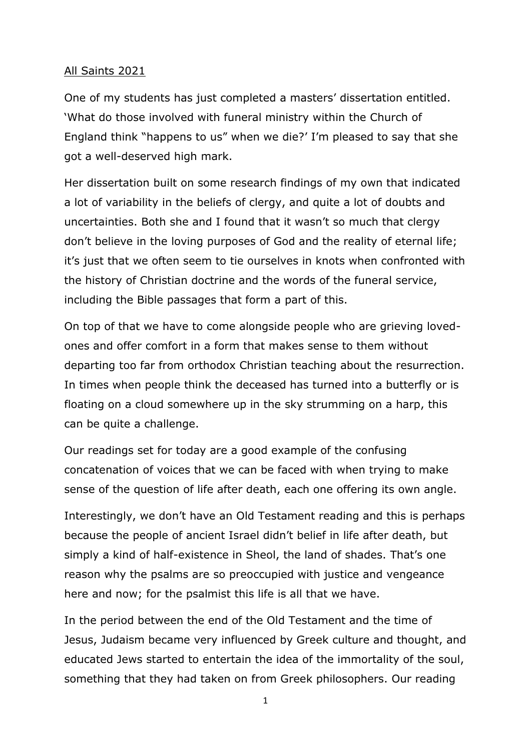## All Saints 2021

One of my students has just completed a masters' dissertation entitled. 'What do those involved with funeral ministry within the Church of England think "happens to us" when we die?' I'm pleased to say that she got a well-deserved high mark.

Her dissertation built on some research findings of my own that indicated a lot of variability in the beliefs of clergy, and quite a lot of doubts and uncertainties. Both she and I found that it wasn't so much that clergy don't believe in the loving purposes of God and the reality of eternal life; it's just that we often seem to tie ourselves in knots when confronted with the history of Christian doctrine and the words of the funeral service, including the Bible passages that form a part of this.

On top of that we have to come alongside people who are grieving lovedones and offer comfort in a form that makes sense to them without departing too far from orthodox Christian teaching about the resurrection. In times when people think the deceased has turned into a butterfly or is floating on a cloud somewhere up in the sky strumming on a harp, this can be quite a challenge.

Our readings set for today are a good example of the confusing concatenation of voices that we can be faced with when trying to make sense of the question of life after death, each one offering its own angle.

Interestingly, we don't have an Old Testament reading and this is perhaps because the people of ancient Israel didn't belief in life after death, but simply a kind of half-existence in Sheol, the land of shades. That's one reason why the psalms are so preoccupied with justice and vengeance here and now; for the psalmist this life is all that we have.

In the period between the end of the Old Testament and the time of Jesus, Judaism became very influenced by Greek culture and thought, and educated Jews started to entertain the idea of the immortality of the soul, something that they had taken on from Greek philosophers. Our reading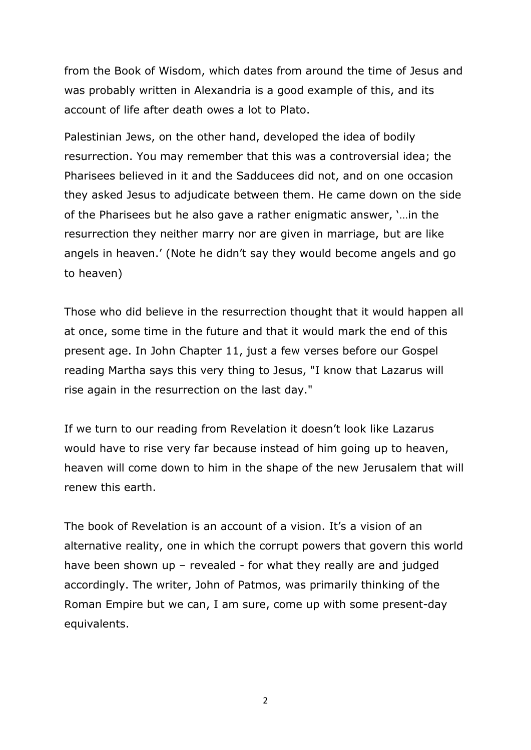from the Book of Wisdom, which dates from around the time of Jesus and was probably written in Alexandria is a good example of this, and its account of life after death owes a lot to Plato.

Palestinian Jews, on the other hand, developed the idea of bodily resurrection. You may remember that this was a controversial idea; the Pharisees believed in it and the Sadducees did not, and on one occasion they asked Jesus to adjudicate between them. He came down on the side of the Pharisees but he also gave a rather enigmatic answer, '…in the resurrection they neither marry nor are given in marriage, but are like angels in heaven.' (Note he didn't say they would become angels and go to heaven)

Those who did believe in the resurrection thought that it would happen all at once, some time in the future and that it would mark the end of this present age. In John Chapter 11, just a few verses before our Gospel reading Martha says this very thing to Jesus, "I know that Lazarus will rise again in the resurrection on the last day."

If we turn to our reading from Revelation it doesn't look like Lazarus would have to rise very far because instead of him going up to heaven, heaven will come down to him in the shape of the new Jerusalem that will renew this earth.

The book of Revelation is an account of a vision. It's a vision of an alternative reality, one in which the corrupt powers that govern this world have been shown up  $-$  revealed  $-$  for what they really are and judged accordingly. The writer, John of Patmos, was primarily thinking of the Roman Empire but we can, I am sure, come up with some present-day equivalents.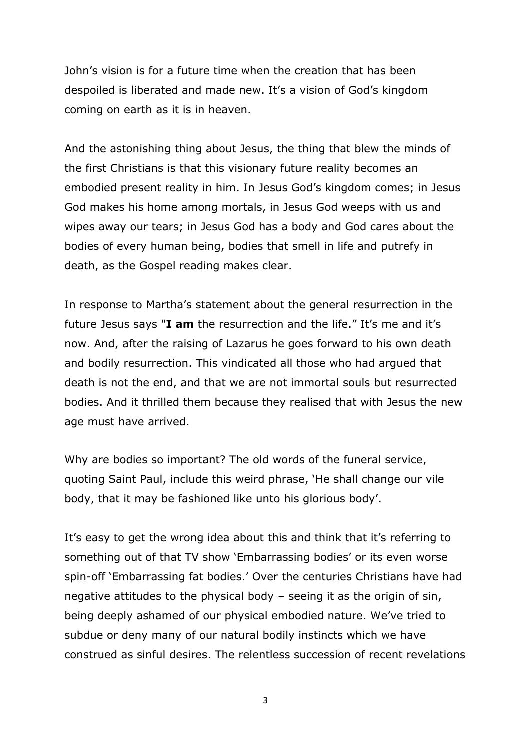John's vision is for a future time when the creation that has been despoiled is liberated and made new. It's a vision of God's kingdom coming on earth as it is in heaven.

And the astonishing thing about Jesus, the thing that blew the minds of the first Christians is that this visionary future reality becomes an embodied present reality in him. In Jesus God's kingdom comes; in Jesus God makes his home among mortals, in Jesus God weeps with us and wipes away our tears; in Jesus God has a body and God cares about the bodies of every human being, bodies that smell in life and putrefy in death, as the Gospel reading makes clear.

In response to Martha's statement about the general resurrection in the future Jesus says "**I am** the resurrection and the life." It's me and it's now. And, after the raising of Lazarus he goes forward to his own death and bodily resurrection. This vindicated all those who had argued that death is not the end, and that we are not immortal souls but resurrected bodies. And it thrilled them because they realised that with Jesus the new age must have arrived.

Why are bodies so important? The old words of the funeral service, quoting Saint Paul, include this weird phrase, 'He shall change our vile body, that it may be fashioned like unto his glorious body'.

It's easy to get the wrong idea about this and think that it's referring to something out of that TV show 'Embarrassing bodies' or its even worse spin-off 'Embarrassing fat bodies.' Over the centuries Christians have had negative attitudes to the physical body – seeing it as the origin of sin, being deeply ashamed of our physical embodied nature. We've tried to subdue or deny many of our natural bodily instincts which we have construed as sinful desires. The relentless succession of recent revelations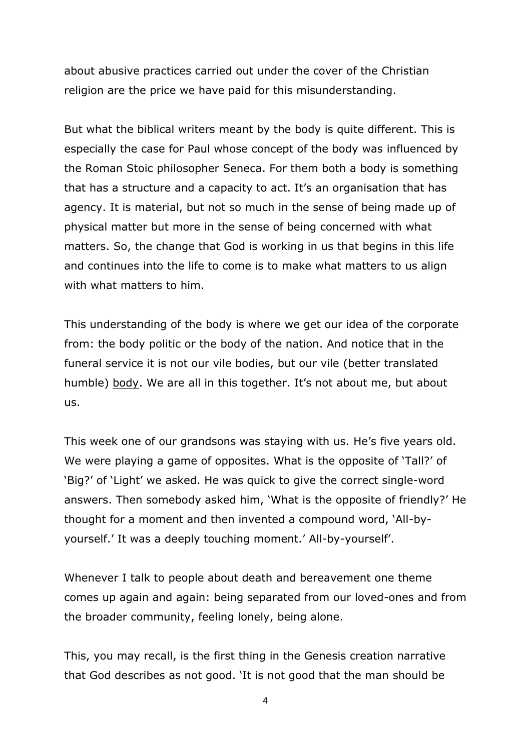about abusive practices carried out under the cover of the Christian religion are the price we have paid for this misunderstanding.

But what the biblical writers meant by the body is quite different. This is especially the case for Paul whose concept of the body was influenced by the Roman Stoic philosopher Seneca. For them both a body is something that has a structure and a capacity to act. It's an organisation that has agency. It is material, but not so much in the sense of being made up of physical matter but more in the sense of being concerned with what matters. So, the change that God is working in us that begins in this life and continues into the life to come is to make what matters to us align with what matters to him.

This understanding of the body is where we get our idea of the corporate from: the body politic or the body of the nation. And notice that in the funeral service it is not our vile bodies, but our vile (better translated humble) body. We are all in this together. It's not about me, but about us.

This week one of our grandsons was staying with us. He's five years old. We were playing a game of opposites. What is the opposite of 'Tall?' of 'Big?' of 'Light' we asked. He was quick to give the correct single-word answers. Then somebody asked him, 'What is the opposite of friendly?' He thought for a moment and then invented a compound word, 'All-byyourself.' It was a deeply touching moment.' All-by-yourself'.

Whenever I talk to people about death and bereavement one theme comes up again and again: being separated from our loved-ones and from the broader community, feeling lonely, being alone.

This, you may recall, is the first thing in the Genesis creation narrative that God describes as not good. 'It is not good that the man should be